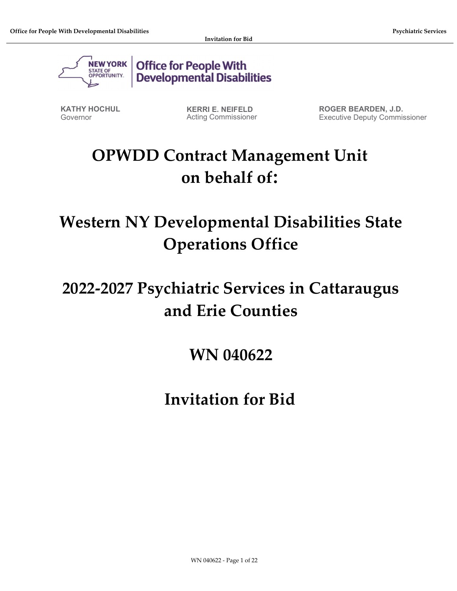

**Office for People With Developmental Disabilities** 

KATHY HOCHUL Governor

KERRI E. NEIFELD Acting Commissioner ROGER BEARDEN, J.D. Executive Deputy Commissioner

# OPWDD Contract Management Unit on behalf of:

Western NY Developmental Disabilities State Operations Office

# 2022-2027 Psychiatric Services in Cattaraugus and Erie Counties

WN 040622

Invitation for Bid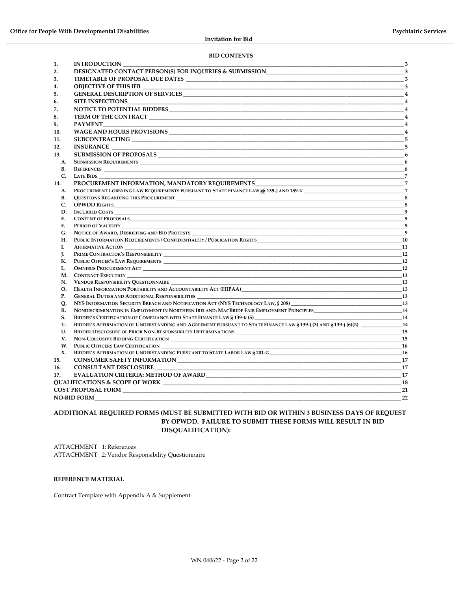#### BID CONTENTS

| 1.                       | <b>INTRODUCTION</b><br>$\overline{\mathbf{3}}$                                                                              |                            |  |  |  |
|--------------------------|-----------------------------------------------------------------------------------------------------------------------------|----------------------------|--|--|--|
| 2.                       | DESIGNATED CONTACT PERSON(S) FOR INQUIRIES & SUBMISSION 3                                                                   |                            |  |  |  |
| 3.                       |                                                                                                                             |                            |  |  |  |
| 4.                       | OBJECTIVE OF THIS IFB                                                                                                       | $\overline{\phantom{a}}$   |  |  |  |
| 5.                       |                                                                                                                             |                            |  |  |  |
| 6.                       | SITE INSPECTIONS ______________                                                                                             | $\overline{4}$             |  |  |  |
| 7.                       |                                                                                                                             |                            |  |  |  |
| 8.                       | <b>TERM OF THE CONTRACT SERVICE SERVICE SERVICE SERVICE SERVICE SERVICE SERVICE SERVICE SERVICE SERVICE SERVICE S</b>       | $\overline{4}$             |  |  |  |
| 9.                       | <b>PAYMENT</b>                                                                                                              | $\overline{4}$             |  |  |  |
| 10.                      |                                                                                                                             | $\overline{4}$             |  |  |  |
| 11.                      |                                                                                                                             |                            |  |  |  |
| 12.                      |                                                                                                                             | 5                          |  |  |  |
|                          | <b>INSURANCE</b>                                                                                                            |                            |  |  |  |
| 13.                      |                                                                                                                             |                            |  |  |  |
| A.                       | <b>SUBMISSION REQUIREMENTS</b>                                                                                              | $\overline{\phantom{a}}$ 6 |  |  |  |
| В.                       |                                                                                                                             | - 6                        |  |  |  |
| C.                       | <b>LATE BIDS</b>                                                                                                            |                            |  |  |  |
| 14.                      | PROCUREMENT INFORMATION, MANDATORY REQUIREMENTS                                                                             | $\overline{7}$             |  |  |  |
| А.                       |                                                                                                                             |                            |  |  |  |
| <b>B.</b><br>C.          | <b>OPWDD RIGHTS CONSERVERS</b>                                                                                              | $^{\circ}$ 8               |  |  |  |
| D.                       |                                                                                                                             | $\mathbf{q}$               |  |  |  |
| Е.                       | <b>CONTENT OF PROPOSALS</b>                                                                                                 | $\overline{9}$             |  |  |  |
| F.                       |                                                                                                                             |                            |  |  |  |
| G.                       |                                                                                                                             | $\overline{9}$             |  |  |  |
| Н.                       | PUBLIC INFORMATION REQUIREMENTS / CONFIDENTIALITY / PUBLICATION RIGHTS <b>FOR A SET ASSESS</b>                              |                            |  |  |  |
| I.                       |                                                                                                                             | 11                         |  |  |  |
| J.                       |                                                                                                                             | 12                         |  |  |  |
| К.                       | PUBLIC OFFICER'S LAW REQUIREMENTS                                                                                           | <b>12</b>                  |  |  |  |
| L.                       |                                                                                                                             | 12                         |  |  |  |
| М.                       |                                                                                                                             | 13                         |  |  |  |
| N.                       | VENDOR RESPONSIBILITY QUESTIONNAIRE                                                                                         | 13                         |  |  |  |
| О.                       | HEALTH INFORMATION PORTABILITY AND ACCOUNTABILITY ACT (HIPAA)                                                               | 13                         |  |  |  |
| Р.                       |                                                                                                                             | <b>13</b>                  |  |  |  |
| О.                       | NYS INFORMATION SECURITY BREACH AND NOTIFICATION ACT (NYS TECHNOLOGY LAW, § 208) _____________________________              | <b>13</b>                  |  |  |  |
| R.                       | NONDISCRIMINATION IN EMPLOYMENT IN NORTHERN IRELAND: MACBRIDE FAIR EMPLOYMENT PRINCIPLES____________________________14      |                            |  |  |  |
| S.                       | BIDDER'S CERTIFICATION OF COMPLIANCE WITH STATE FINANCE LAW § 139-K (5)                                                     | $\frac{1}{4}$              |  |  |  |
| T.                       | BIDDER'S AFFIRMATION OF UNDERSTANDING AND AGREEMENT PURSUANT TO STATE FINANCE LAW § 139-J (3) AND § 139-J (6)(B)            | <b>14</b>                  |  |  |  |
| U.                       |                                                                                                                             | 15                         |  |  |  |
| V.                       | NON-COLLUSIVE BIDDING CERTIFICATION                                                                                         | <b>15</b>                  |  |  |  |
| W.                       |                                                                                                                             |                            |  |  |  |
| X.                       |                                                                                                                             | - 16                       |  |  |  |
| 15.                      |                                                                                                                             | 17                         |  |  |  |
| 16.                      | CONSULTANT DISCLOSURE                                                                                                       | - 17                       |  |  |  |
| 17.                      |                                                                                                                             | 17                         |  |  |  |
| <b>18</b>                |                                                                                                                             |                            |  |  |  |
|                          | <b>COST PROPOSAL FORM EXAMPLE THE SERVICE SERVICE SERVICE SERVICE SERVICE SERVICE SERVICE SERVICE SERVICE SERVICE</b><br>21 |                            |  |  |  |
| <b>NO-BID FORM</b><br>22 |                                                                                                                             |                            |  |  |  |

#### ADDITIONAL REQUIRED FORMS (MUST BE SUBMITTED WITH BID OR WITHIN 3 BUSINESS DAYS OF REQUEST BY OPWDD. FAILURE TO SUBMIT THESE FORMS WILL RESULT IN BID DISQUALIFICATION):

ATTACHMENT 1: References ATTACHMENT 2: Vendor Responsibility Questionnaire

#### REFERENCE MATERIAL

Contract Template with Appendix A & Supplement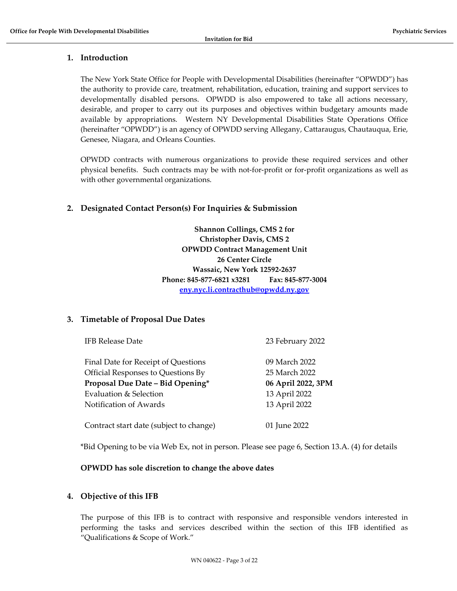# 1. Introduction

The New York State Office for People with Developmental Disabilities (hereinafter "OPWDD") has the authority to provide care, treatment, rehabilitation, education, training and support services to developmentally disabled persons. OPWDD is also empowered to take all actions necessary, desirable, and proper to carry out its purposes and objectives within budgetary amounts made available by appropriations. Western NY Developmental Disabilities State Operations Office (hereinafter "OPWDD") is an agency of OPWDD serving Allegany, Cattaraugus, Chautauqua, Erie, Genesee, Niagara, and Orleans Counties.

OPWDD contracts with numerous organizations to provide these required services and other physical benefits. Such contracts may be with not-for-profit or for-profit organizations as well as with other governmental organizations.

# 2. Designated Contact Person(s) For Inquiries & Submission

Shannon Collings, CMS 2 for Christopher Davis, CMS 2 OPWDD Contract Management Unit 26 Center Circle Wassaic, New York 12592-2637 Phone: 845-877-6821 x3281 Fax: 845-877-3004 eny.nyc.li.contracthub@opwdd.ny.gov

# 3. Timetable of Proposal Due Dates

| Final Date for Receipt of Questions     | 09 March 2022      |
|-----------------------------------------|--------------------|
| Official Responses to Questions By      | 25 March 2022      |
| Proposal Due Date - Bid Opening*        | 06 April 2022, 3PM |
| Evaluation & Selection                  | 13 April 2022      |
| Notification of Awards                  | 13 April 2022      |
| Contract start date (subject to change) | 01 June 2022       |

IFB Release Date 23 February 2022

\*Bid Opening to be via Web Ex, not in person. Please see page 6, Section 13.A. (4) for details

# OPWDD has sole discretion to change the above dates

# 4. Objective of this IFB

The purpose of this IFB is to contract with responsive and responsible vendors interested in performing the tasks and services described within the section of this IFB identified as "Qualifications & Scope of Work."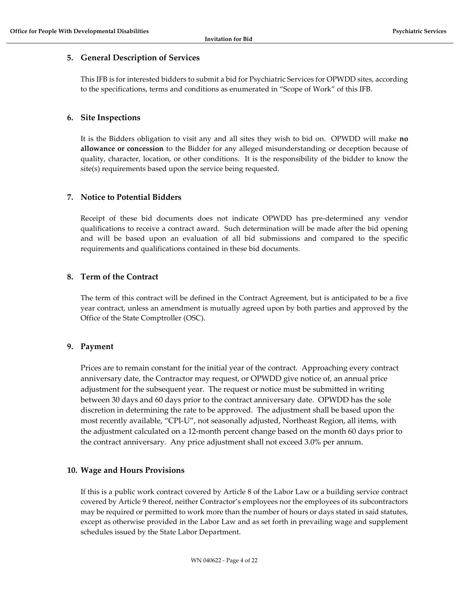# 5. General Description of Services

This IFB is for interested bidders to submit a bid for Psychiatric Services for OPWDD sites, according to the specifications, terms and conditions as enumerated in "Scope of Work" of this IFB.

# 6. Site Inspections

It is the Bidders obligation to visit any and all sites they wish to bid on. OPWDD will make no allowance or concession to the Bidder for any alleged misunderstanding or deception because of quality, character, location, or other conditions. It is the responsibility of the bidder to know the site(s) requirements based upon the service being requested.

# 7. Notice to Potential Bidders

Receipt of these bid documents does not indicate OPWDD has pre-determined any vendor qualifications to receive a contract award. Such determination will be made after the bid opening and will be based upon an evaluation of all bid submissions and compared to the specific requirements and qualifications contained in these bid documents.

# 8. Term of the Contract

The term of this contract will be defined in the Contract Agreement, but is anticipated to be a five year contract, unless an amendment is mutually agreed upon by both parties and approved by the Office of the State Comptroller (OSC).

# 9. Payment

Prices are to remain constant for the initial year of the contract. Approaching every contract anniversary date, the Contractor may request, or OPWDD give notice of, an annual price adjustment for the subsequent year. The request or notice must be submitted in writing between 30 days and 60 days prior to the contract anniversary date. OPWDD has the sole discretion in determining the rate to be approved. The adjustment shall be based upon the most recently available, "CPI-U", not seasonally adjusted, Northeast Region, all items, with the adjustment calculated on a 12-month percent change based on the month 60 days prior to the contract anniversary. Any price adjustment shall not exceed 3.0% per annum.

# 10. Wage and Hours Provisions

If this is a public work contract covered by Article 8 of the Labor Law or a building service contract covered by Article 9 thereof, neither Contractor's employees nor the employees of its subcontractors may be required or permitted to work more than the number of hours or days stated in said statutes, except as otherwise provided in the Labor Law and as set forth in prevailing wage and supplement schedules issued by the State Labor Department.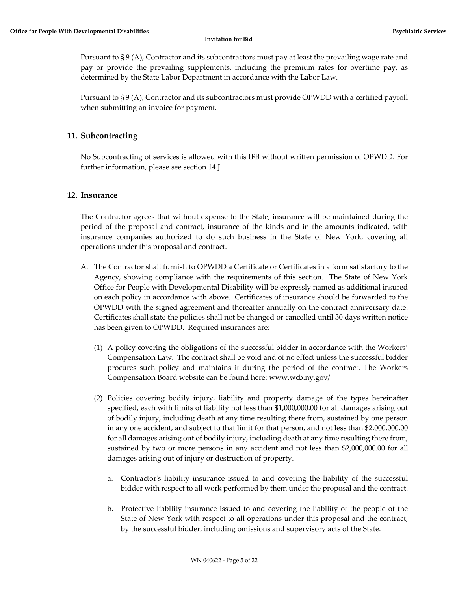Pursuant to § 9 (A), Contractor and its subcontractors must pay at least the prevailing wage rate and pay or provide the prevailing supplements, including the premium rates for overtime pay, as determined by the State Labor Department in accordance with the Labor Law.

Pursuant to § 9 (A), Contractor and its subcontractors must provide OPWDD with a certified payroll when submitting an invoice for payment.

# 11. Subcontracting

No Subcontracting of services is allowed with this IFB without written permission of OPWDD. For further information, please see section 14 J.

# 12. Insurance

The Contractor agrees that without expense to the State, insurance will be maintained during the period of the proposal and contract, insurance of the kinds and in the amounts indicated, with insurance companies authorized to do such business in the State of New York, covering all operations under this proposal and contract.

- A. The Contractor shall furnish to OPWDD a Certificate or Certificates in a form satisfactory to the Agency, showing compliance with the requirements of this section. The State of New York Office for People with Developmental Disability will be expressly named as additional insured on each policy in accordance with above. Certificates of insurance should be forwarded to the OPWDD with the signed agreement and thereafter annually on the contract anniversary date. Certificates shall state the policies shall not be changed or cancelled until 30 days written notice has been given to OPWDD. Required insurances are:
	- (1) A policy covering the obligations of the successful bidder in accordance with the Workers' Compensation Law. The contract shall be void and of no effect unless the successful bidder procures such policy and maintains it during the period of the contract. The Workers Compensation Board website can be found here: www.wcb.ny.gov/
	- (2) Policies covering bodily injury, liability and property damage of the types hereinafter specified, each with limits of liability not less than \$1,000,000.00 for all damages arising out of bodily injury, including death at any time resulting there from, sustained by one person in any one accident, and subject to that limit for that person, and not less than \$2,000,000.00 for all damages arising out of bodily injury, including death at any time resulting there from, sustained by two or more persons in any accident and not less than \$2,000,000.00 for all damages arising out of injury or destruction of property.
		- a. Contractor's liability insurance issued to and covering the liability of the successful bidder with respect to all work performed by them under the proposal and the contract.
		- b. Protective liability insurance issued to and covering the liability of the people of the State of New York with respect to all operations under this proposal and the contract, by the successful bidder, including omissions and supervisory acts of the State.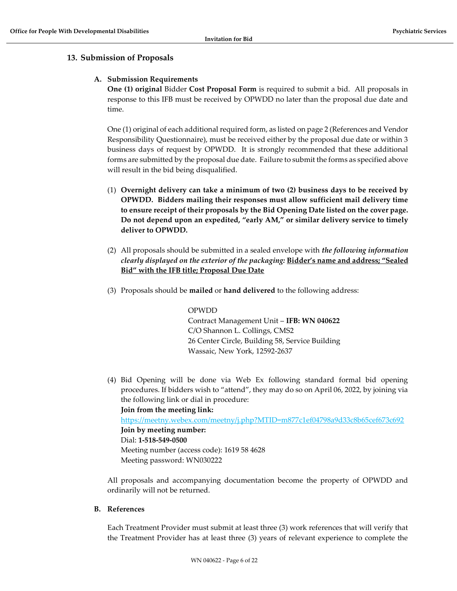# 13. Submission of Proposals

#### A. Submission Requirements

One (1) original Bidder Cost Proposal Form is required to submit a bid. All proposals in response to this IFB must be received by OPWDD no later than the proposal due date and time.

One (1) original of each additional required form, as listed on page 2 (References and Vendor Responsibility Questionnaire), must be received either by the proposal due date or within 3 business days of request by OPWDD. It is strongly recommended that these additional forms are submitted by the proposal due date. Failure to submit the forms as specified above will result in the bid being disqualified.

- (1) Overnight delivery can take a minimum of two (2) business days to be received by OPWDD. Bidders mailing their responses must allow sufficient mail delivery time to ensure receipt of their proposals by the Bid Opening Date listed on the cover page. Do not depend upon an expedited, "early AM," or similar delivery service to timely deliver to OPWDD.
- (2) All proposals should be submitted in a sealed envelope with *the following information* clearly displayed on the exterior of the packaging: Bidder's name and address; "Sealed Bid" with the IFB title; Proposal Due Date
- (3) Proposals should be mailed or hand delivered to the following address:

#### OPWDD

Contract Management Unit – IFB: WN 040622 C/O Shannon L. Collings, CMS2 26 Center Circle, Building 58, Service Building Wassaic, New York, 12592-2637

(4) Bid Opening will be done via Web Ex following standard formal bid opening procedures. If bidders wish to "attend", they may do so on April 06, 2022, by joining via the following link or dial in procedure:

Join from the meeting link:

https://meetny.webex.com/meetny/j.php?MTID=m877c1ef04798a9d33c8b65cef673c692 Join by meeting number: Dial: 1-518-549-0500 Meeting number (access code): 1619 58 4628

Meeting password: WN030222

All proposals and accompanying documentation become the property of OPWDD and ordinarily will not be returned.

B. References

Each Treatment Provider must submit at least three (3) work references that will verify that the Treatment Provider has at least three (3) years of relevant experience to complete the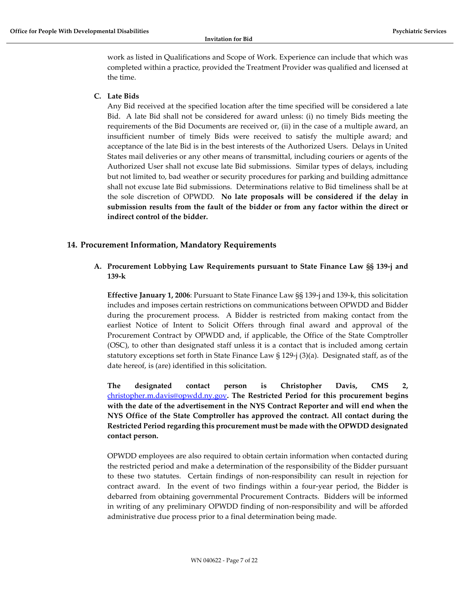work as listed in Qualifications and Scope of Work. Experience can include that which was completed within a practice, provided the Treatment Provider was qualified and licensed at the time.

### C. Late Bids

Any Bid received at the specified location after the time specified will be considered a late Bid. A late Bid shall not be considered for award unless: (i) no timely Bids meeting the requirements of the Bid Documents are received or, (ii) in the case of a multiple award, an insufficient number of timely Bids were received to satisfy the multiple award; and acceptance of the late Bid is in the best interests of the Authorized Users. Delays in United States mail deliveries or any other means of transmittal, including couriers or agents of the Authorized User shall not excuse late Bid submissions. Similar types of delays, including but not limited to, bad weather or security procedures for parking and building admittance shall not excuse late Bid submissions. Determinations relative to Bid timeliness shall be at the sole discretion of OPWDD. No late proposals will be considered if the delay in submission results from the fault of the bidder or from any factor within the direct or indirect control of the bidder.

# 14. Procurement Information, Mandatory Requirements

A. Procurement Lobbying Law Requirements pursuant to State Finance Law §§ 139-j and 139-k

Effective January 1, 2006: Pursuant to State Finance Law §§ 139-j and 139-k, this solicitation includes and imposes certain restrictions on communications between OPWDD and Bidder during the procurement process. A Bidder is restricted from making contact from the earliest Notice of Intent to Solicit Offers through final award and approval of the Procurement Contract by OPWDD and, if applicable, the Office of the State Comptroller (OSC), to other than designated staff unless it is a contact that is included among certain statutory exceptions set forth in State Finance Law § 129-j (3)(a). Designated staff, as of the date hereof, is (are) identified in this solicitation.

The designated contact person is Christopher Davis, CMS 2, christopher.m.davis@opwdd.ny.gov. The Restricted Period for this procurement begins with the date of the advertisement in the NYS Contract Reporter and will end when the NYS Office of the State Comptroller has approved the contract. All contact during the Restricted Period regarding this procurement must be made with the OPWDD designated contact person.

OPWDD employees are also required to obtain certain information when contacted during the restricted period and make a determination of the responsibility of the Bidder pursuant to these two statutes. Certain findings of non-responsibility can result in rejection for contract award. In the event of two findings within a four-year period, the Bidder is debarred from obtaining governmental Procurement Contracts. Bidders will be informed in writing of any preliminary OPWDD finding of non-responsibility and will be afforded administrative due process prior to a final determination being made.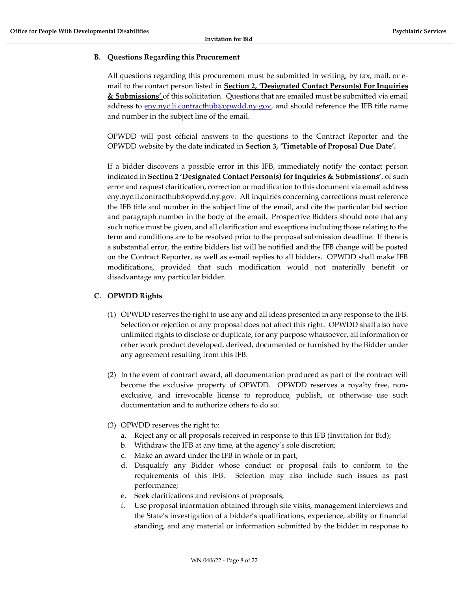### B. Questions Regarding this Procurement

All questions regarding this procurement must be submitted in writing, by fax, mail, or email to the contact person listed in Section 2, 'Designated Contact Person(s) For Inquiries & Submissions' of this solicitation. Questions that are emailed must be submitted via email address to eny.nyc.li.contracthub@opwdd.ny.gov, and should reference the IFB title name and number in the subject line of the email.

OPWDD will post official answers to the questions to the Contract Reporter and the OPWDD website by the date indicated in Section 3, 'Timetable of Proposal Due Date'.

If a bidder discovers a possible error in this IFB, immediately notify the contact person indicated in **Section 2 'Designated Contact Person(s) for Inquiries & Submissions'**, of such error and request clarification, correction or modification to this document via email address eny.nyc.li.contracthub@opwdd.ny.gov. All inquiries concerning corrections must reference the IFB title and number in the subject line of the email, and cite the particular bid section and paragraph number in the body of the email. Prospective Bidders should note that any such notice must be given, and all clarification and exceptions including those relating to the term and conditions are to be resolved prior to the proposal submission deadline. If there is a substantial error, the entire bidders list will be notified and the IFB change will be posted on the Contract Reporter, as well as e-mail replies to all bidders. OPWDD shall make IFB modifications, provided that such modification would not materially benefit or disadvantage any particular bidder.

# C. OPWDD Rights

- (1) OPWDD reserves the right to use any and all ideas presented in any response to the IFB. Selection or rejection of any proposal does not affect this right. OPWDD shall also have unlimited rights to disclose or duplicate, for any purpose whatsoever, all information or other work product developed, derived, documented or furnished by the Bidder under any agreement resulting from this IFB.
- (2) In the event of contract award, all documentation produced as part of the contract will become the exclusive property of OPWDD. OPWDD reserves a royalty free, nonexclusive, and irrevocable license to reproduce, publish, or otherwise use such documentation and to authorize others to do so.
- (3) OPWDD reserves the right to:
	- a. Reject any or all proposals received in response to this IFB (Invitation for Bid);
	- b. Withdraw the IFB at any time, at the agency's sole discretion;
	- c. Make an award under the IFB in whole or in part;
	- d. Disqualify any Bidder whose conduct or proposal fails to conform to the requirements of this IFB. Selection may also include such issues as past performance;
	- e. Seek clarifications and revisions of proposals;
	- f. Use proposal information obtained through site visits, management interviews and the State's investigation of a bidder's qualifications, experience, ability or financial standing, and any material or information submitted by the bidder in response to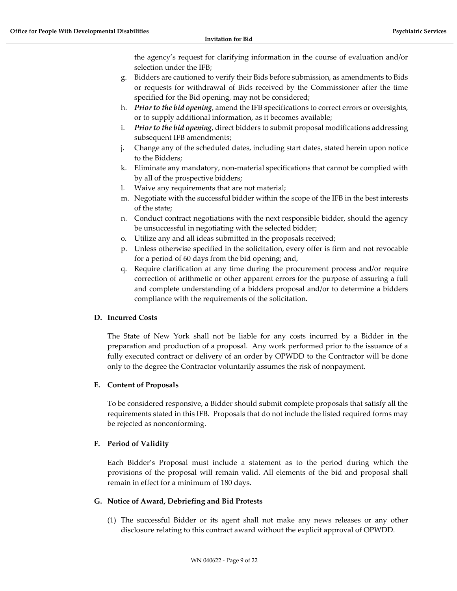the agency's request for clarifying information in the course of evaluation and/or selection under the IFB;

- g. Bidders are cautioned to verify their Bids before submission, as amendments to Bids or requests for withdrawal of Bids received by the Commissioner after the time specified for the Bid opening, may not be considered;
- h. Prior to the bid opening, amend the IFB specifications to correct errors or oversights, or to supply additional information, as it becomes available;
- i. Prior to the bid opening, direct bidders to submit proposal modifications addressing subsequent IFB amendments;
- j. Change any of the scheduled dates, including start dates, stated herein upon notice to the Bidders;
- k. Eliminate any mandatory, non-material specifications that cannot be complied with by all of the prospective bidders;
- l. Waive any requirements that are not material;
- m. Negotiate with the successful bidder within the scope of the IFB in the best interests of the state;
- n. Conduct contract negotiations with the next responsible bidder, should the agency be unsuccessful in negotiating with the selected bidder;
- o. Utilize any and all ideas submitted in the proposals received;
- p. Unless otherwise specified in the solicitation, every offer is firm and not revocable for a period of 60 days from the bid opening; and,
- q. Require clarification at any time during the procurement process and/or require correction of arithmetic or other apparent errors for the purpose of assuring a full and complete understanding of a bidders proposal and/or to determine a bidders compliance with the requirements of the solicitation.

#### D. Incurred Costs

The State of New York shall not be liable for any costs incurred by a Bidder in the preparation and production of a proposal. Any work performed prior to the issuance of a fully executed contract or delivery of an order by OPWDD to the Contractor will be done only to the degree the Contractor voluntarily assumes the risk of nonpayment.

#### E. Content of Proposals

To be considered responsive, a Bidder should submit complete proposals that satisfy all the requirements stated in this IFB. Proposals that do not include the listed required forms may be rejected as nonconforming.

# F. Period of Validity

Each Bidder's Proposal must include a statement as to the period during which the provisions of the proposal will remain valid. All elements of the bid and proposal shall remain in effect for a minimum of 180 days.

#### G. Notice of Award, Debriefing and Bid Protests

(1) The successful Bidder or its agent shall not make any news releases or any other disclosure relating to this contract award without the explicit approval of OPWDD.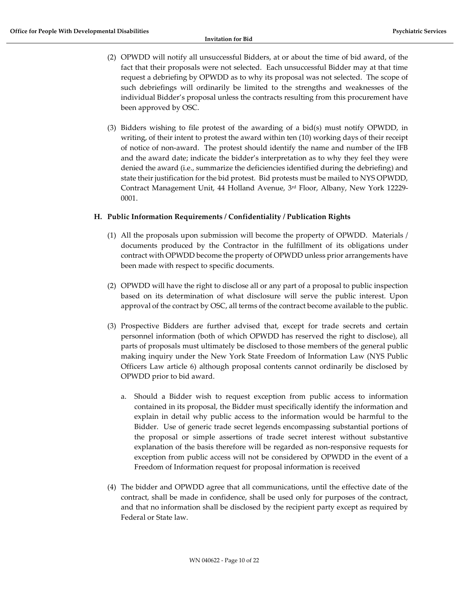- (2) OPWDD will notify all unsuccessful Bidders, at or about the time of bid award, of the fact that their proposals were not selected. Each unsuccessful Bidder may at that time request a debriefing by OPWDD as to why its proposal was not selected. The scope of such debriefings will ordinarily be limited to the strengths and weaknesses of the individual Bidder's proposal unless the contracts resulting from this procurement have been approved by OSC.
- (3) Bidders wishing to file protest of the awarding of a bid(s) must notify OPWDD, in writing, of their intent to protest the award within ten (10) working days of their receipt of notice of non-award. The protest should identify the name and number of the IFB and the award date; indicate the bidder's interpretation as to why they feel they were denied the award (i.e., summarize the deficiencies identified during the debriefing) and state their justification for the bid protest. Bid protests must be mailed to NYS OPWDD, Contract Management Unit, 44 Holland Avenue, 3rd Floor, Albany, New York 12229- 0001.

#### H. Public Information Requirements / Confidentiality / Publication Rights

- (1) All the proposals upon submission will become the property of OPWDD. Materials / documents produced by the Contractor in the fulfillment of its obligations under contract with OPWDD become the property of OPWDD unless prior arrangements have been made with respect to specific documents.
- (2) OPWDD will have the right to disclose all or any part of a proposal to public inspection based on its determination of what disclosure will serve the public interest. Upon approval of the contract by OSC, all terms of the contract become available to the public.
- (3) Prospective Bidders are further advised that, except for trade secrets and certain personnel information (both of which OPWDD has reserved the right to disclose), all parts of proposals must ultimately be disclosed to those members of the general public making inquiry under the New York State Freedom of Information Law (NYS Public Officers Law article 6) although proposal contents cannot ordinarily be disclosed by OPWDD prior to bid award.
	- a. Should a Bidder wish to request exception from public access to information contained in its proposal, the Bidder must specifically identify the information and explain in detail why public access to the information would be harmful to the Bidder. Use of generic trade secret legends encompassing substantial portions of the proposal or simple assertions of trade secret interest without substantive explanation of the basis therefore will be regarded as non-responsive requests for exception from public access will not be considered by OPWDD in the event of a Freedom of Information request for proposal information is received
- (4) The bidder and OPWDD agree that all communications, until the effective date of the contract, shall be made in confidence, shall be used only for purposes of the contract, and that no information shall be disclosed by the recipient party except as required by Federal or State law.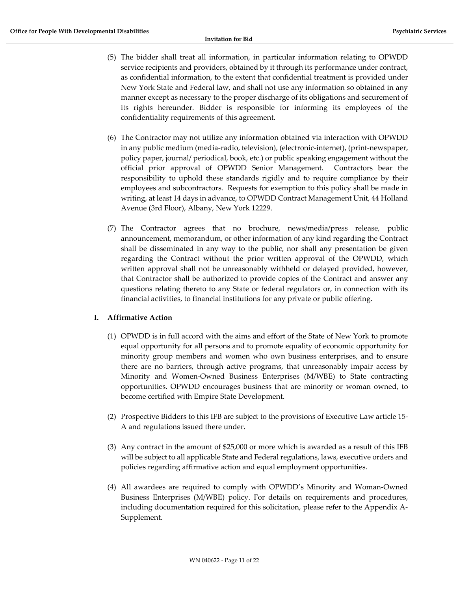- (5) The bidder shall treat all information, in particular information relating to OPWDD service recipients and providers, obtained by it through its performance under contract, as confidential information, to the extent that confidential treatment is provided under New York State and Federal law, and shall not use any information so obtained in any manner except as necessary to the proper discharge of its obligations and securement of its rights hereunder. Bidder is responsible for informing its employees of the confidentiality requirements of this agreement.
- (6) The Contractor may not utilize any information obtained via interaction with OPWDD in any public medium (media-radio, television), (electronic-internet), (print-newspaper, policy paper, journal/ periodical, book, etc.) or public speaking engagement without the official prior approval of OPWDD Senior Management. Contractors bear the responsibility to uphold these standards rigidly and to require compliance by their employees and subcontractors. Requests for exemption to this policy shall be made in writing, at least 14 days in advance, to OPWDD Contract Management Unit, 44 Holland Avenue (3rd Floor), Albany, New York 12229.
- (7) The Contractor agrees that no brochure, news/media/press release, public announcement, memorandum, or other information of any kind regarding the Contract shall be disseminated in any way to the public, nor shall any presentation be given regarding the Contract without the prior written approval of the OPWDD, which written approval shall not be unreasonably withheld or delayed provided, however, that Contractor shall be authorized to provide copies of the Contract and answer any questions relating thereto to any State or federal regulators or, in connection with its financial activities, to financial institutions for any private or public offering.

# I. Affirmative Action

- (1) OPWDD is in full accord with the aims and effort of the State of New York to promote equal opportunity for all persons and to promote equality of economic opportunity for minority group members and women who own business enterprises, and to ensure there are no barriers, through active programs, that unreasonably impair access by Minority and Women-Owned Business Enterprises (M/WBE) to State contracting opportunities. OPWDD encourages business that are minority or woman owned, to become certified with Empire State Development.
- (2) Prospective Bidders to this IFB are subject to the provisions of Executive Law article 15- A and regulations issued there under.
- (3) Any contract in the amount of \$25,000 or more which is awarded as a result of this IFB will be subject to all applicable State and Federal regulations, laws, executive orders and policies regarding affirmative action and equal employment opportunities.
- (4) All awardees are required to comply with OPWDD's Minority and Woman-Owned Business Enterprises (M/WBE) policy. For details on requirements and procedures, including documentation required for this solicitation, please refer to the Appendix A-Supplement.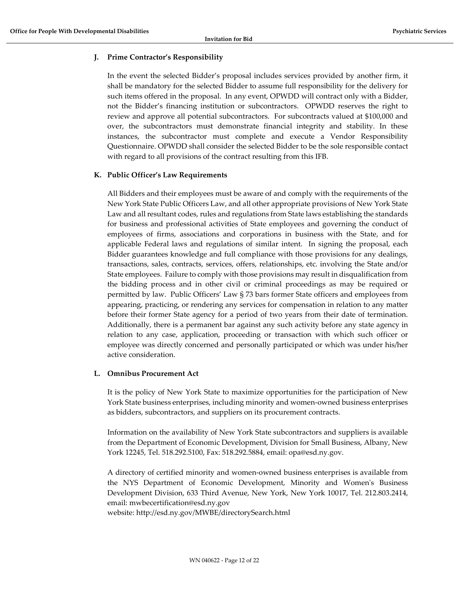# J. Prime Contractor's Responsibility

In the event the selected Bidder's proposal includes services provided by another firm, it shall be mandatory for the selected Bidder to assume full responsibility for the delivery for such items offered in the proposal. In any event, OPWDD will contract only with a Bidder, not the Bidder's financing institution or subcontractors. OPWDD reserves the right to review and approve all potential subcontractors. For subcontracts valued at \$100,000 and over, the subcontractors must demonstrate financial integrity and stability. In these instances, the subcontractor must complete and execute a Vendor Responsibility Questionnaire. OPWDD shall consider the selected Bidder to be the sole responsible contact with regard to all provisions of the contract resulting from this IFB.

### K. Public Officer's Law Requirements

All Bidders and their employees must be aware of and comply with the requirements of the New York State Public Officers Law, and all other appropriate provisions of New York State Law and all resultant codes, rules and regulations from State laws establishing the standards for business and professional activities of State employees and governing the conduct of employees of firms, associations and corporations in business with the State, and for applicable Federal laws and regulations of similar intent. In signing the proposal, each Bidder guarantees knowledge and full compliance with those provisions for any dealings, transactions, sales, contracts, services, offers, relationships, etc. involving the State and/or State employees. Failure to comply with those provisions may result in disqualification from the bidding process and in other civil or criminal proceedings as may be required or permitted by law. Public Officers' Law § 73 bars former State officers and employees from appearing, practicing, or rendering any services for compensation in relation to any matter before their former State agency for a period of two years from their date of termination. Additionally, there is a permanent bar against any such activity before any state agency in relation to any case, application, proceeding or transaction with which such officer or employee was directly concerned and personally participated or which was under his/her active consideration.

#### L. Omnibus Procurement Act

It is the policy of New York State to maximize opportunities for the participation of New York State business enterprises, including minority and women-owned business enterprises as bidders, subcontractors, and suppliers on its procurement contracts.

Information on the availability of New York State subcontractors and suppliers is available from the Department of Economic Development, Division for Small Business, Albany, New York 12245, Tel. 518.292.5100, Fax: 518.292.5884, email: opa@esd.ny.gov.

A directory of certified minority and women-owned business enterprises is available from the NYS Department of Economic Development, Minority and Women's Business Development Division, 633 Third Avenue, New York, New York 10017, Tel. 212.803.2414, email: mwbecertification@esd.ny.gov

website: http://esd.ny.gov/MWBE/directorySearch.html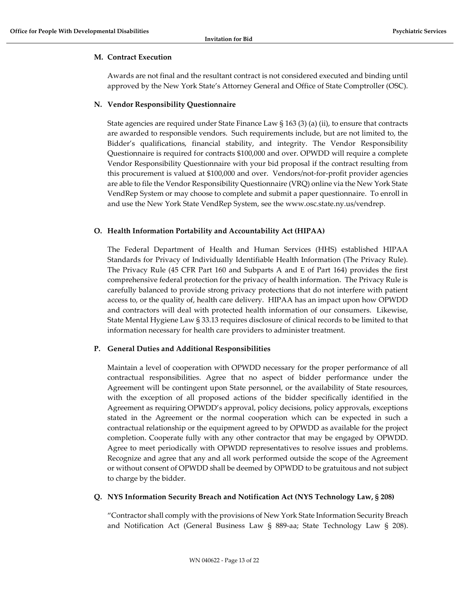#### M. Contract Execution

Awards are not final and the resultant contract is not considered executed and binding until approved by the New York State's Attorney General and Office of State Comptroller (OSC).

#### N. Vendor Responsibility Questionnaire

State agencies are required under State Finance Law § 163 (3) (a) (ii), to ensure that contracts are awarded to responsible vendors. Such requirements include, but are not limited to, the Bidder's qualifications, financial stability, and integrity. The Vendor Responsibility Questionnaire is required for contracts \$100,000 and over. OPWDD will require a complete Vendor Responsibility Questionnaire with your bid proposal if the contract resulting from this procurement is valued at \$100,000 and over. Vendors/not-for-profit provider agencies are able to file the Vendor Responsibility Questionnaire (VRQ) online via the New York State VendRep System or may choose to complete and submit a paper questionnaire. To enroll in and use the New York State VendRep System, see the www.osc.state.ny.us/vendrep.

#### O. Health Information Portability and Accountability Act (HIPAA)

The Federal Department of Health and Human Services (HHS) established HIPAA Standards for Privacy of Individually Identifiable Health Information (The Privacy Rule). The Privacy Rule (45 CFR Part 160 and Subparts A and E of Part 164) provides the first comprehensive federal protection for the privacy of health information. The Privacy Rule is carefully balanced to provide strong privacy protections that do not interfere with patient access to, or the quality of, health care delivery. HIPAA has an impact upon how OPWDD and contractors will deal with protected health information of our consumers. Likewise, State Mental Hygiene Law § 33.13 requires disclosure of clinical records to be limited to that information necessary for health care providers to administer treatment.

#### P. General Duties and Additional Responsibilities

Maintain a level of cooperation with OPWDD necessary for the proper performance of all contractual responsibilities. Agree that no aspect of bidder performance under the Agreement will be contingent upon State personnel, or the availability of State resources, with the exception of all proposed actions of the bidder specifically identified in the Agreement as requiring OPWDD's approval, policy decisions, policy approvals, exceptions stated in the Agreement or the normal cooperation which can be expected in such a contractual relationship or the equipment agreed to by OPWDD as available for the project completion. Cooperate fully with any other contractor that may be engaged by OPWDD. Agree to meet periodically with OPWDD representatives to resolve issues and problems. Recognize and agree that any and all work performed outside the scope of the Agreement or without consent of OPWDD shall be deemed by OPWDD to be gratuitous and not subject to charge by the bidder.

#### Q. NYS Information Security Breach and Notification Act (NYS Technology Law, § 208)

"Contractor shall comply with the provisions of New York State Information Security Breach and Notification Act (General Business Law § 889-aa; State Technology Law § 208).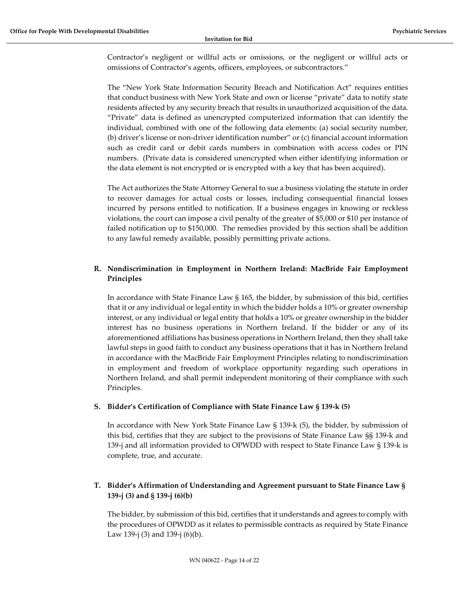Contractor's negligent or willful acts or omissions, or the negligent or willful acts or omissions of Contractor's agents, officers, employees, or subcontractors."

The "New York State Information Security Breach and Notification Act" requires entities that conduct business with New York State and own or license "private" data to notify state residents affected by any security breach that results in unauthorized acquisition of the data. "Private" data is defined as unencrypted computerized information that can identify the individual, combined with one of the following data elements: (a) social security number, (b) driver's license or non-driver identification number" or (c) financial account information such as credit card or debit cards numbers in combination with access codes or PIN numbers. (Private data is considered unencrypted when either identifying information or the data element is not encrypted or is encrypted with a key that has been acquired).

The Act authorizes the State Attorney General to sue a business violating the statute in order to recover damages for actual costs or losses, including consequential financial losses incurred by persons entitled to notification. If a business engages in knowing or reckless violations, the court can impose a civil penalty of the greater of \$5,000 or \$10 per instance of failed notification up to \$150,000. The remedies provided by this section shall be addition to any lawful remedy available, possibly permitting private actions.

# R. Nondiscrimination in Employment in Northern Ireland: MacBride Fair Employment Principles

In accordance with State Finance Law § 165, the bidder, by submission of this bid, certifies that it or any individual or legal entity in which the bidder holds a 10% or greater ownership interest, or any individual or legal entity that holds a 10% or greater ownership in the bidder interest has no business operations in Northern Ireland. If the bidder or any of its aforementioned affiliations has business operations in Northern Ireland, then they shall take lawful steps in good faith to conduct any business operations that it has in Northern Ireland in accordance with the MacBride Fair Employment Principles relating to nondiscrimination in employment and freedom of workplace opportunity regarding such operations in Northern Ireland, and shall permit independent monitoring of their compliance with such Principles.

#### S. Bidder's Certification of Compliance with State Finance Law § 139-k (5)

In accordance with New York State Finance Law § 139-k (5), the bidder, by submission of this bid, certifies that they are subject to the provisions of State Finance Law §§ 139-k and 139-j and all information provided to OPWDD with respect to State Finance Law § 139-k is complete, true, and accurate.

# T. Bidder's Affirmation of Understanding and Agreement pursuant to State Finance Law § 139-j (3) and § 139-j (6)(b)

The bidder, by submission of this bid, certifies that it understands and agrees to comply with the procedures of OPWDD as it relates to permissible contracts as required by State Finance Law 139-j (3) and 139-j (6)(b).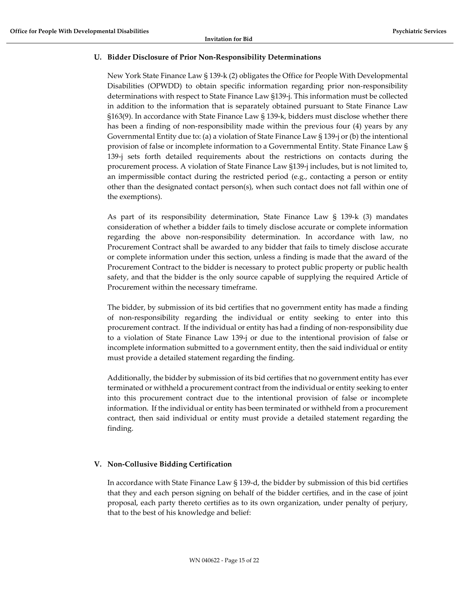### U. Bidder Disclosure of Prior Non-Responsibility Determinations

New York State Finance Law § 139-k (2) obligates the Office for People With Developmental Disabilities (OPWDD) to obtain specific information regarding prior non-responsibility determinations with respect to State Finance Law §139-j. This information must be collected in addition to the information that is separately obtained pursuant to State Finance Law §163(9). In accordance with State Finance Law § 139-k, bidders must disclose whether there has been a finding of non-responsibility made within the previous four (4) years by any Governmental Entity due to: (a) a violation of State Finance Law § 139-j or (b) the intentional provision of false or incomplete information to a Governmental Entity. State Finance Law § 139-j sets forth detailed requirements about the restrictions on contacts during the procurement process. A violation of State Finance Law §139-j includes, but is not limited to, an impermissible contact during the restricted period (e.g., contacting a person or entity other than the designated contact person(s), when such contact does not fall within one of the exemptions).

As part of its responsibility determination, State Finance Law § 139-k (3) mandates consideration of whether a bidder fails to timely disclose accurate or complete information regarding the above non-responsibility determination. In accordance with law, no Procurement Contract shall be awarded to any bidder that fails to timely disclose accurate or complete information under this section, unless a finding is made that the award of the Procurement Contract to the bidder is necessary to protect public property or public health safety, and that the bidder is the only source capable of supplying the required Article of Procurement within the necessary timeframe.

The bidder, by submission of its bid certifies that no government entity has made a finding of non-responsibility regarding the individual or entity seeking to enter into this procurement contract. If the individual or entity has had a finding of non-responsibility due to a violation of State Finance Law 139-j or due to the intentional provision of false or incomplete information submitted to a government entity, then the said individual or entity must provide a detailed statement regarding the finding.

Additionally, the bidder by submission of its bid certifies that no government entity has ever terminated or withheld a procurement contract from the individual or entity seeking to enter into this procurement contract due to the intentional provision of false or incomplete information. If the individual or entity has been terminated or withheld from a procurement contract, then said individual or entity must provide a detailed statement regarding the finding.

#### V. Non-Collusive Bidding Certification

In accordance with State Finance Law § 139-d, the bidder by submission of this bid certifies that they and each person signing on behalf of the bidder certifies, and in the case of joint proposal, each party thereto certifies as to its own organization, under penalty of perjury, that to the best of his knowledge and belief: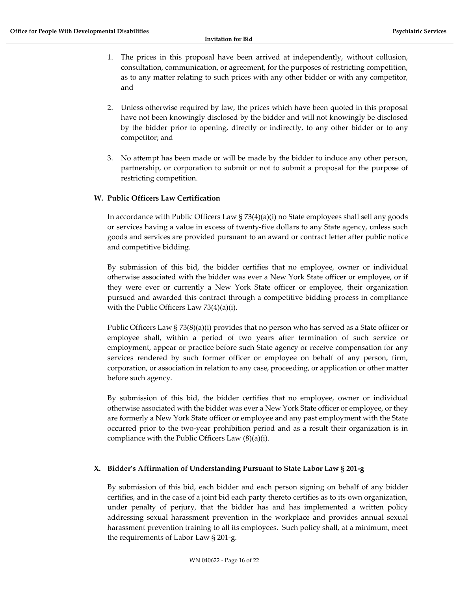- 1. The prices in this proposal have been arrived at independently, without collusion, consultation, communication, or agreement, for the purposes of restricting competition, as to any matter relating to such prices with any other bidder or with any competitor, and
- 2. Unless otherwise required by law, the prices which have been quoted in this proposal have not been knowingly disclosed by the bidder and will not knowingly be disclosed by the bidder prior to opening, directly or indirectly, to any other bidder or to any competitor; and
- 3. No attempt has been made or will be made by the bidder to induce any other person, partnership, or corporation to submit or not to submit a proposal for the purpose of restricting competition.

#### W. Public Officers Law Certification

In accordance with Public Officers Law § 73(4)(a)(i) no State employees shall sell any goods or services having a value in excess of twenty-five dollars to any State agency, unless such goods and services are provided pursuant to an award or contract letter after public notice and competitive bidding.

By submission of this bid, the bidder certifies that no employee, owner or individual otherwise associated with the bidder was ever a New York State officer or employee, or if they were ever or currently a New York State officer or employee, their organization pursued and awarded this contract through a competitive bidding process in compliance with the Public Officers Law 73(4)(a)(i).

Public Officers Law § 73(8)(a)(i) provides that no person who has served as a State officer or employee shall, within a period of two years after termination of such service or employment, appear or practice before such State agency or receive compensation for any services rendered by such former officer or employee on behalf of any person, firm, corporation, or association in relation to any case, proceeding, or application or other matter before such agency.

By submission of this bid, the bidder certifies that no employee, owner or individual otherwise associated with the bidder was ever a New York State officer or employee, or they are formerly a New York State officer or employee and any past employment with the State occurred prior to the two-year prohibition period and as a result their organization is in compliance with the Public Officers Law (8)(a)(i).

#### X. Bidder's Affirmation of Understanding Pursuant to State Labor Law § 201-g

By submission of this bid, each bidder and each person signing on behalf of any bidder certifies, and in the case of a joint bid each party thereto certifies as to its own organization, under penalty of perjury, that the bidder has and has implemented a written policy addressing sexual harassment prevention in the workplace and provides annual sexual harassment prevention training to all its employees. Such policy shall, at a minimum, meet the requirements of Labor Law § 201-g.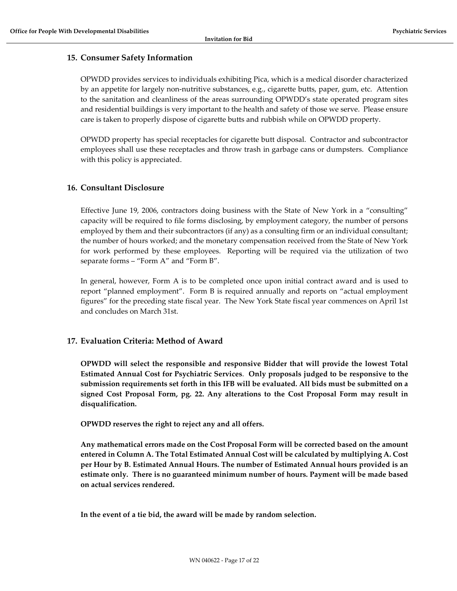#### 15. Consumer Safety Information

OPWDD provides services to individuals exhibiting Pica, which is a medical disorder characterized by an appetite for largely non-nutritive substances, e.g., cigarette butts, paper, gum, etc. Attention to the sanitation and cleanliness of the areas surrounding OPWDD's state operated program sites and residential buildings is very important to the health and safety of those we serve. Please ensure care is taken to properly dispose of cigarette butts and rubbish while on OPWDD property.

OPWDD property has special receptacles for cigarette butt disposal. Contractor and subcontractor employees shall use these receptacles and throw trash in garbage cans or dumpsters. Compliance with this policy is appreciated.

#### 16. Consultant Disclosure

Effective June 19, 2006, contractors doing business with the State of New York in a "consulting" capacity will be required to file forms disclosing, by employment category, the number of persons employed by them and their subcontractors (if any) as a consulting firm or an individual consultant; the number of hours worked; and the monetary compensation received from the State of New York for work performed by these employees. Reporting will be required via the utilization of two separate forms – "Form A" and "Form B".

In general, however, Form A is to be completed once upon initial contract award and is used to report "planned employment". Form B is required annually and reports on "actual employment figures" for the preceding state fiscal year. The New York State fiscal year commences on April 1st and concludes on March 31st.

#### 17. Evaluation Criteria: Method of Award

OPWDD will select the responsible and responsive Bidder that will provide the lowest Total Estimated Annual Cost for Psychiatric Services. Only proposals judged to be responsive to the submission requirements set forth in this IFB will be evaluated. All bids must be submitted on a signed Cost Proposal Form, pg. 22. Any alterations to the Cost Proposal Form may result in disqualification.

OPWDD reserves the right to reject any and all offers.

Any mathematical errors made on the Cost Proposal Form will be corrected based on the amount entered in Column A. The Total Estimated Annual Cost will be calculated by multiplying A. Cost per Hour by B. Estimated Annual Hours. The number of Estimated Annual hours provided is an estimate only. There is no guaranteed minimum number of hours. Payment will be made based on actual services rendered.

In the event of a tie bid, the award will be made by random selection.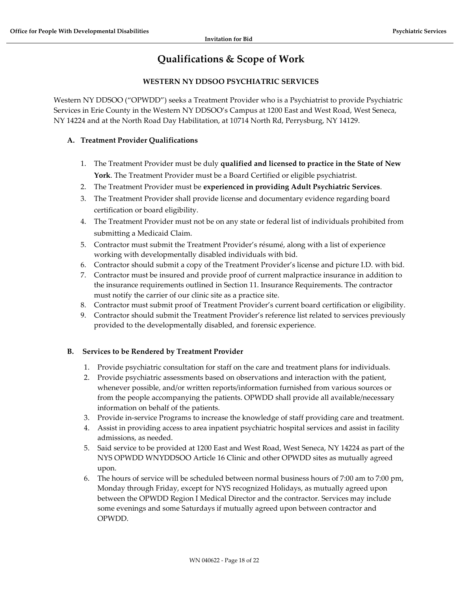# Qualifications & Scope of Work

# WESTERN NY DDSOO PSYCHIATRIC SERVICES

Western NY DDSOO ("OPWDD") seeks a Treatment Provider who is a Psychiatrist to provide Psychiatric Services in Erie County in the Western NY DDSOO's Campus at 1200 East and West Road, West Seneca, NY 14224 and at the North Road Day Habilitation, at 10714 North Rd, Perrysburg, NY 14129.

# A. Treatment Provider Qualifications

- 1. The Treatment Provider must be duly qualified and licensed to practice in the State of New York. The Treatment Provider must be a Board Certified or eligible psychiatrist.
- 2. The Treatment Provider must be experienced in providing Adult Psychiatric Services.
- 3. The Treatment Provider shall provide license and documentary evidence regarding board certification or board eligibility.
- 4. The Treatment Provider must not be on any state or federal list of individuals prohibited from submitting a Medicaid Claim.
- 5. Contractor must submit the Treatment Provider's résumé, along with a list of experience working with developmentally disabled individuals with bid.
- 6. Contractor should submit a copy of the Treatment Provider's license and picture I.D. with bid.
- 7. Contractor must be insured and provide proof of current malpractice insurance in addition to the insurance requirements outlined in Section 11. Insurance Requirements. The contractor must notify the carrier of our clinic site as a practice site.
- 8. Contractor must submit proof of Treatment Provider's current board certification or eligibility.
- 9. Contractor should submit the Treatment Provider's reference list related to services previously provided to the developmentally disabled, and forensic experience.

# B. Services to be Rendered by Treatment Provider

- 1. Provide psychiatric consultation for staff on the care and treatment plans for individuals.
- 2. Provide psychiatric assessments based on observations and interaction with the patient, whenever possible, and/or written reports/information furnished from various sources or from the people accompanying the patients. OPWDD shall provide all available/necessary information on behalf of the patients.
- 3. Provide in-service Programs to increase the knowledge of staff providing care and treatment.
- 4. Assist in providing access to area inpatient psychiatric hospital services and assist in facility admissions, as needed.
- 5. Said service to be provided at 1200 East and West Road, West Seneca, NY 14224 as part of the NYS OPWDD WNYDDSOO Article 16 Clinic and other OPWDD sites as mutually agreed upon.
- 6. The hours of service will be scheduled between normal business hours of 7:00 am to 7:00 pm, Monday through Friday, except for NYS recognized Holidays, as mutually agreed upon between the OPWDD Region I Medical Director and the contractor. Services may include some evenings and some Saturdays if mutually agreed upon between contractor and OPWDD.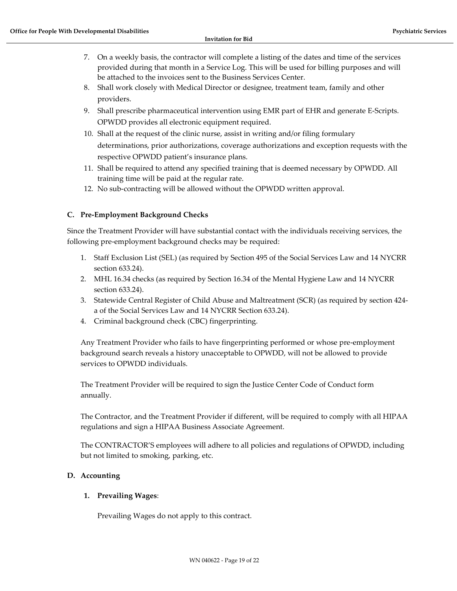- 7. On a weekly basis, the contractor will complete a listing of the dates and time of the services provided during that month in a Service Log. This will be used for billing purposes and will be attached to the invoices sent to the Business Services Center.
- 8. Shall work closely with Medical Director or designee, treatment team, family and other providers.
- 9. Shall prescribe pharmaceutical intervention using EMR part of EHR and generate E-Scripts. OPWDD provides all electronic equipment required.
- 10. Shall at the request of the clinic nurse, assist in writing and/or filing formulary determinations, prior authorizations, coverage authorizations and exception requests with the respective OPWDD patient's insurance plans.
- 11. Shall be required to attend any specified training that is deemed necessary by OPWDD. All training time will be paid at the regular rate.
- 12. No sub-contracting will be allowed without the OPWDD written approval.

# C. Pre-Employment Background Checks

Since the Treatment Provider will have substantial contact with the individuals receiving services, the following pre-employment background checks may be required:

- 1. Staff Exclusion List (SEL) (as required by Section 495 of the Social Services Law and 14 NYCRR section 633.24).
- 2. MHL 16.34 checks (as required by Section 16.34 of the Mental Hygiene Law and 14 NYCRR section 633.24).
- 3. Statewide Central Register of Child Abuse and Maltreatment (SCR) (as required by section 424 a of the Social Services Law and 14 NYCRR Section 633.24).
- 4. Criminal background check (CBC) fingerprinting.

Any Treatment Provider who fails to have fingerprinting performed or whose pre-employment background search reveals a history unacceptable to OPWDD, will not be allowed to provide services to OPWDD individuals.

The Treatment Provider will be required to sign the Justice Center Code of Conduct form annually.

The Contractor, and the Treatment Provider if different, will be required to comply with all HIPAA regulations and sign a HIPAA Business Associate Agreement.

The CONTRACTOR'S employees will adhere to all policies and regulations of OPWDD, including but not limited to smoking, parking, etc.

# D. Accounting

#### 1. Prevailing Wages:

Prevailing Wages do not apply to this contract.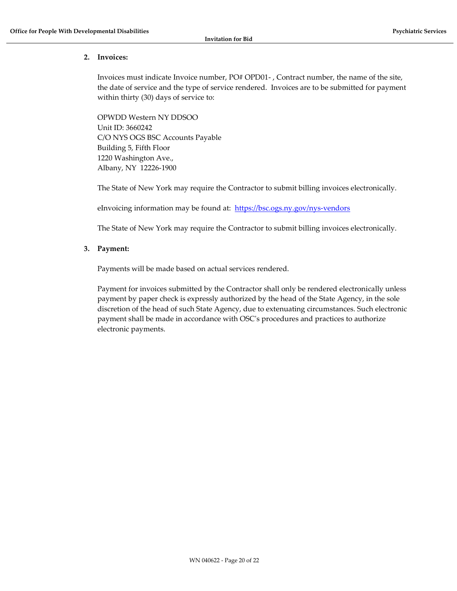#### 2. Invoices:

Invoices must indicate Invoice number, PO# OPD01- , Contract number, the name of the site, the date of service and the type of service rendered. Invoices are to be submitted for payment within thirty (30) days of service to:

OPWDD Western NY DDSOO Unit ID: 3660242 C/O NYS OGS BSC Accounts Payable Building 5, Fifth Floor 1220 Washington Ave., Albany, NY 12226-1900

The State of New York may require the Contractor to submit billing invoices electronically.

eInvoicing information may be found at: https://bsc.ogs.ny.gov/nys-vendors

The State of New York may require the Contractor to submit billing invoices electronically.

#### 3. Payment:

Payments will be made based on actual services rendered.

Payment for invoices submitted by the Contractor shall only be rendered electronically unless payment by paper check is expressly authorized by the head of the State Agency, in the sole discretion of the head of such State Agency, due to extenuating circumstances. Such electronic payment shall be made in accordance with OSC's procedures and practices to authorize electronic payments.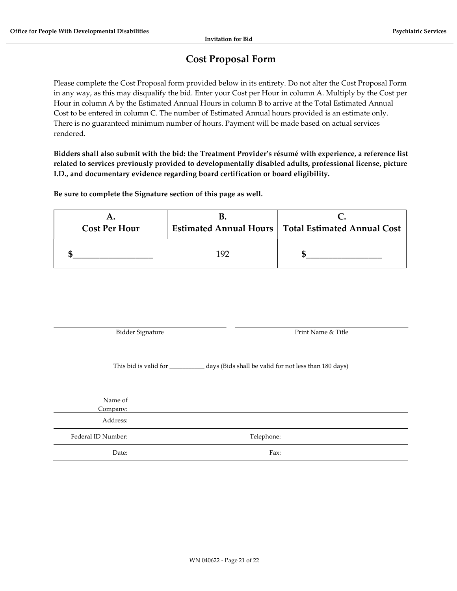# Cost Proposal Form

Please complete the Cost Proposal form provided below in its entirety. Do not alter the Cost Proposal Form in any way, as this may disqualify the bid. Enter your Cost per Hour in column A. Multiply by the Cost per Hour in column A by the Estimated Annual Hours in column B to arrive at the Total Estimated Annual Cost to be entered in column C. The number of Estimated Annual hours provided is an estimate only. There is no guaranteed minimum number of hours. Payment will be made based on actual services rendered.

Bidders shall also submit with the bid: the Treatment Provider's résumé with experience, a reference list related to services previously provided to developmentally disabled adults, professional license, picture I.D., and documentary evidence regarding board certification or board eligibility.

Be sure to complete the Signature section of this page as well.

| <b>Cost Per Hour</b> |     | <b>Estimated Annual Hours   Total Estimated Annual Cost</b> |
|----------------------|-----|-------------------------------------------------------------|
|                      | 192 |                                                             |

Bidder Signature Print Name & Title

This bid is valid for \_\_\_\_\_\_\_\_\_\_\_ days (Bids shall be valid for not less than 180 days)

| Name of<br>Company: |            |  |
|---------------------|------------|--|
| Address:            |            |  |
| Federal ID Number:  | Telephone: |  |
| Date:               | Fax:       |  |